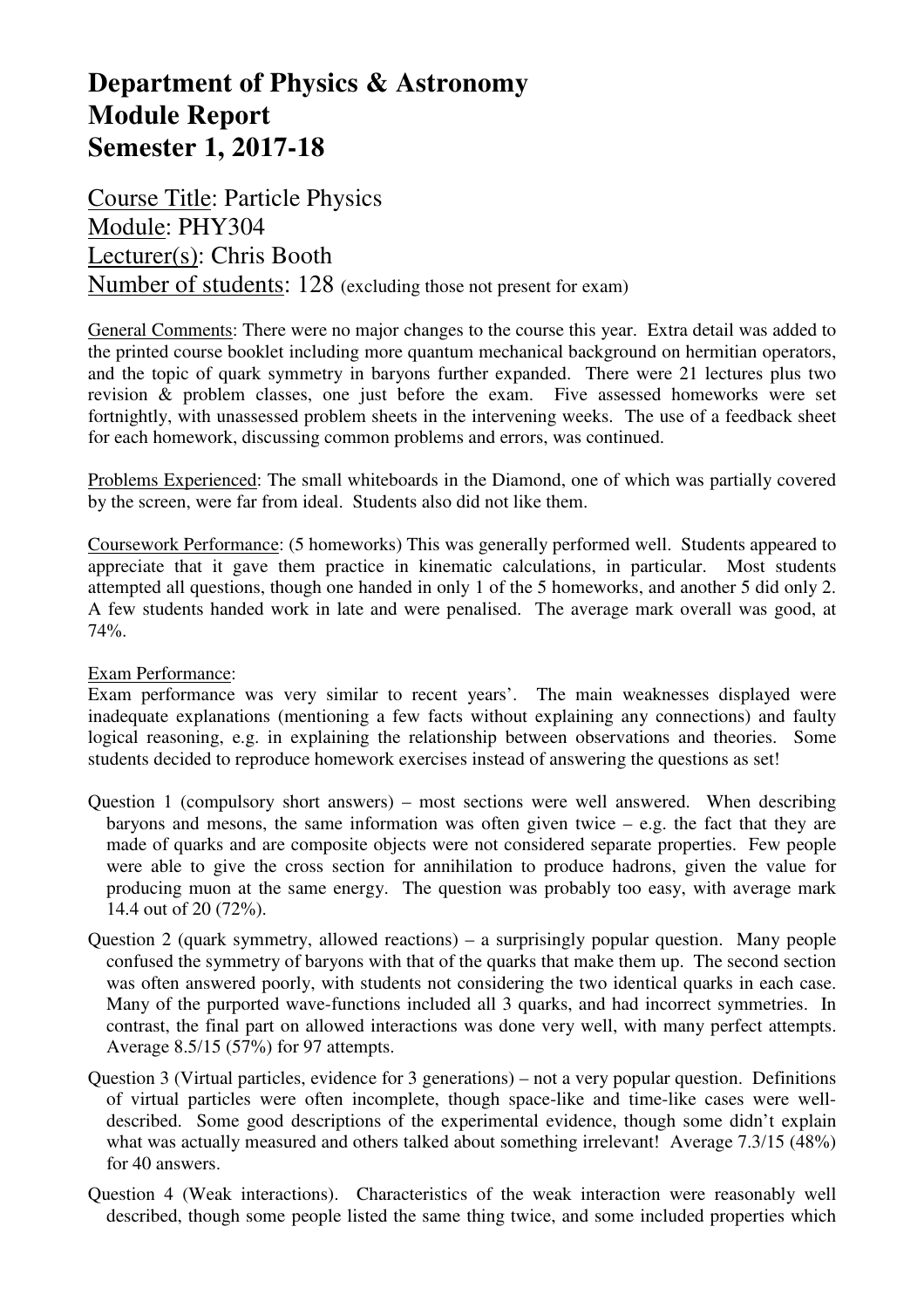## **Department of Physics & Astronomy Module Report Semester 1, 2017-18**

Course Title: Particle Physics Module: PHY304 Lecturer(s): Chris Booth Number of students: 128 (excluding those not present for exam)

General Comments: There were no major changes to the course this year. Extra detail was added to the printed course booklet including more quantum mechanical background on hermitian operators, and the topic of quark symmetry in baryons further expanded. There were 21 lectures plus two revision & problem classes, one just before the exam. Five assessed homeworks were set fortnightly, with unassessed problem sheets in the intervening weeks. The use of a feedback sheet for each homework, discussing common problems and errors, was continued.

Problems Experienced: The small whiteboards in the Diamond, one of which was partially covered by the screen, were far from ideal. Students also did not like them.

Coursework Performance: (5 homeworks) This was generally performed well. Students appeared to appreciate that it gave them practice in kinematic calculations, in particular. Most students attempted all questions, though one handed in only 1 of the 5 homeworks, and another 5 did only 2. A few students handed work in late and were penalised. The average mark overall was good, at 74%.

## Exam Performance:

Exam performance was very similar to recent years'. The main weaknesses displayed were inadequate explanations (mentioning a few facts without explaining any connections) and faulty logical reasoning, e.g. in explaining the relationship between observations and theories. Some students decided to reproduce homework exercises instead of answering the questions as set!

- Question 1 (compulsory short answers) most sections were well answered. When describing baryons and mesons, the same information was often given twice  $-$  e.g. the fact that they are made of quarks and are composite objects were not considered separate properties. Few people were able to give the cross section for annihilation to produce hadrons, given the value for producing muon at the same energy. The question was probably too easy, with average mark 14.4 out of 20 (72%).
- Question 2 (quark symmetry, allowed reactions) a surprisingly popular question. Many people confused the symmetry of baryons with that of the quarks that make them up. The second section was often answered poorly, with students not considering the two identical quarks in each case. Many of the purported wave-functions included all 3 quarks, and had incorrect symmetries. In contrast, the final part on allowed interactions was done very well, with many perfect attempts. Average 8.5/15 (57%) for 97 attempts.
- Question 3 (Virtual particles, evidence for 3 generations) not a very popular question. Definitions of virtual particles were often incomplete, though space-like and time-like cases were welldescribed. Some good descriptions of the experimental evidence, though some didn't explain what was actually measured and others talked about something irrelevant! Average 7.3/15 (48%) for 40 answers.
- Question 4 (Weak interactions). Characteristics of the weak interaction were reasonably well described, though some people listed the same thing twice, and some included properties which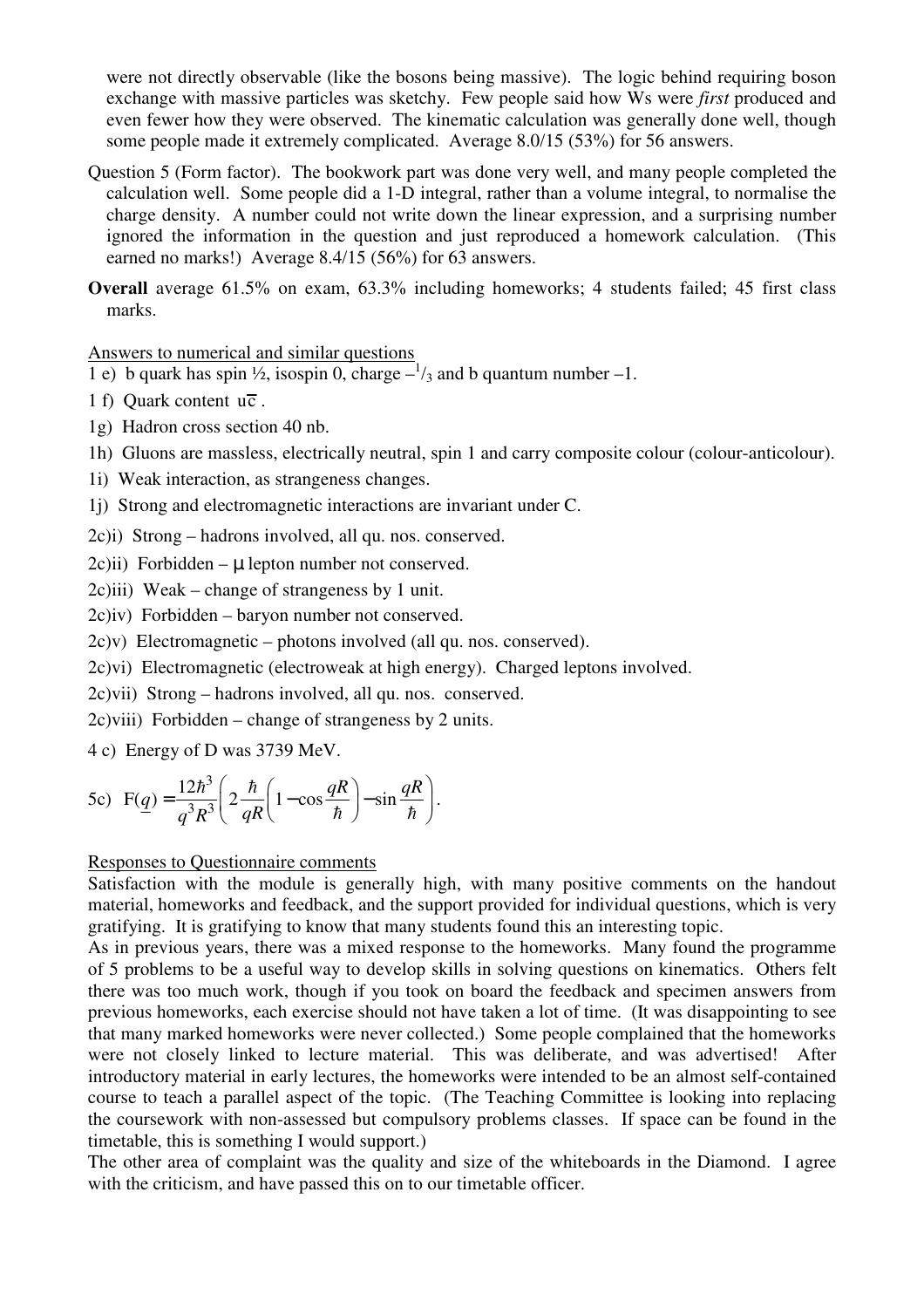were not directly observable (like the bosons being massive). The logic behind requiring boson exchange with massive particles was sketchy. Few people said how Ws were *first* produced and even fewer how they were observed. The kinematic calculation was generally done well, though some people made it extremely complicated. Average 8.0/15 (53%) for 56 answers.

Question 5 (Form factor). The bookwork part was done very well, and many people completed the calculation well. Some people did a 1-D integral, rather than a volume integral, to normalise the charge density. A number could not write down the linear expression, and a surprising number ignored the information in the question and just reproduced a homework calculation. (This earned no marks!) Average 8.4/15 (56%) for 63 answers.

**Overall** average 61.5% on exam, 63.3% including homeworks; 4 students failed; 45 first class marks.

Answers to numerical and similar questions

1 e) b quark has spin  $\frac{1}{2}$ , isospin 0, charge  $-\frac{1}{3}$  and b quantum number -1.

- 1 f) Ouark content  $u\overline{c}$ .
- 1g) Hadron cross section 40 nb.
- 1h) Gluons are massless, electrically neutral, spin 1 and carry composite colour (colour-anticolour).
- 1i) Weak interaction, as strangeness changes.
- 1j) Strong and electromagnetic interactions are invariant under C.
- 2c)i) Strong hadrons involved, all qu. nos. conserved.

 $2c$ )ii) Forbidden –  $\mu$  lepton number not conserved.

2c)iii) Weak – change of strangeness by 1 unit.

2c)iv) Forbidden – baryon number not conserved.

- 2c)v) Electromagnetic photons involved (all qu. nos. conserved).
- 2c)vi) Electromagnetic (electroweak at high energy). Charged leptons involved.

2c)vii) Strong – hadrons involved, all qu. nos. conserved.

2c)viii) Forbidden – change of strangeness by 2 units.

4 c) Energy of D was 3739 MeV.

$$
\text{5c)} \quad \text{F}(q) = \frac{12\hbar^3}{q^3 R^3} \left( 2\frac{\hbar}{qR} \left( 1 - \cos\frac{qR}{\hbar} \right) - \sin\frac{qR}{\hbar} \right).
$$

## Responses to Questionnaire comments

Satisfaction with the module is generally high, with many positive comments on the handout material, homeworks and feedback, and the support provided for individual questions, which is very gratifying. It is gratifying to know that many students found this an interesting topic.

As in previous years, there was a mixed response to the homeworks. Many found the programme of 5 problems to be a useful way to develop skills in solving questions on kinematics. Others felt there was too much work, though if you took on board the feedback and specimen answers from previous homeworks, each exercise should not have taken a lot of time. (It was disappointing to see that many marked homeworks were never collected.) Some people complained that the homeworks were not closely linked to lecture material. This was deliberate, and was advertised! After introductory material in early lectures, the homeworks were intended to be an almost self-contained course to teach a parallel aspect of the topic. (The Teaching Committee is looking into replacing the coursework with non-assessed but compulsory problems classes. If space can be found in the timetable, this is something I would support.)

The other area of complaint was the quality and size of the whiteboards in the Diamond. I agree with the criticism, and have passed this on to our timetable officer.